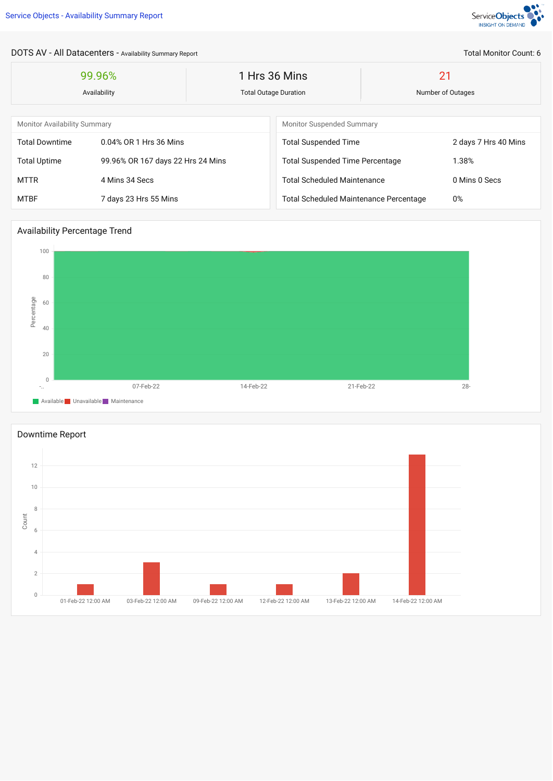

Total Monitor Count: 6

DOTS AV - All Datacenters - Availability Summary Report

| 99.96%<br>Availability              |                                   | 1 Hrs 36 Mins<br><b>Total Outage Duration</b> |                                               | 21<br>Number of Outages |                      |
|-------------------------------------|-----------------------------------|-----------------------------------------------|-----------------------------------------------|-------------------------|----------------------|
| <b>Monitor Availability Summary</b> |                                   |                                               | <b>Monitor Suspended Summary</b>              |                         |                      |
| <b>Total Downtime</b>               | 0.04% OR 1 Hrs 36 Mins            |                                               | <b>Total Suspended Time</b>                   |                         | 2 days 7 Hrs 40 Mins |
| <b>Total Uptime</b>                 | 99.96% OR 167 days 22 Hrs 24 Mins |                                               | <b>Total Suspended Time Percentage</b>        |                         | 1.38%                |
| <b>MTTR</b>                         | 4 Mins 34 Secs                    |                                               | <b>Total Scheduled Maintenance</b>            |                         | 0 Mins 0 Secs        |
| <b>MTBF</b>                         | 7 days 23 Hrs 55 Mins             |                                               | <b>Total Scheduled Maintenance Percentage</b> |                         | 0%                   |

## Availability Percentage Trend